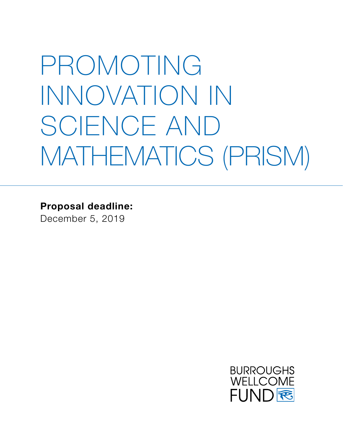# PROMOTING INNOVATION IN SCIENCE AND MATHEMATICS (PRISM)

**Proposal deadline:**

December 5, 2019

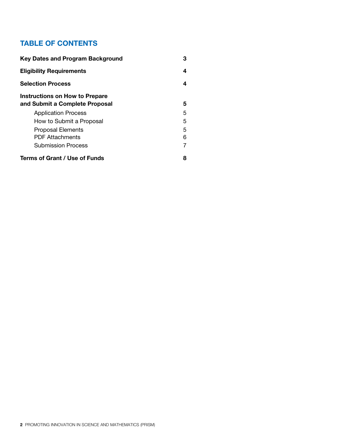#### **TABLE OF CONTENTS**

| <b>Key Dates and Program Background</b>                                 | 3 |
|-------------------------------------------------------------------------|---|
| <b>Eligibility Requirements</b>                                         | 4 |
| <b>Selection Process</b>                                                | 4 |
| <b>Instructions on How to Prepare</b><br>and Submit a Complete Proposal | 5 |
| <b>Application Process</b>                                              | 5 |
| How to Submit a Proposal                                                | 5 |
| <b>Proposal Elements</b>                                                | 5 |
| <b>PDF Attachments</b>                                                  | 6 |
| <b>Submission Process</b>                                               |   |
| Terms of Grant / Use of Funds                                           | 8 |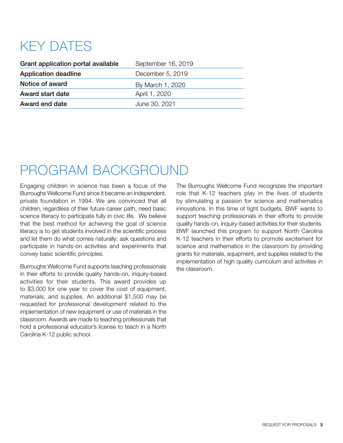### KEY DATES

| Grant application portal available | September 16, 2019 |
|------------------------------------|--------------------|
| <b>Application deadline</b>        | December 5, 2019   |
| Notice of award                    | By March 1, 2020   |
| Award start date                   | April 1, 2020      |
| Award end date                     | June 30, 2021      |

### PROGRAM BACKGROUND

Engaging children in science has been a focus of the Burroughs Wellcome Fund since it became an independent, private foundation in 1994. We are convinced that all children, regardless of their future career path, need basic science literacy to participate fully in civic life. We believe that the best method for achieving the goal of science literacy is to get students involved in the scientific process and let them do what comes naturally: ask questions and participate in hands-on activities and experiments that convey basic scientific principles.

Burroughs Wellcome Fund supports teaching professionals in their efforts to provide quality hands-on, inquiry-based activities for their students. This award provides up to \$3,000 for one year to cover the cost of equipment, materials, and supplies. An additional \$1,500 may be requested for professional development related to the implementation of new equipment or use of materials in the classroom. Awards are made to teaching professionals that hold a professional educator's license to teach in a North Carolina K-12 public school.

The Burroughs Wellcome Fund recognizes the important role that K-12 teachers play in the lives of students by stimulating a passion for science and mathematics innovations. In this time of tight budgets, BWF wants to support teaching professionals in their efforts to provide quality hands-on, inquiry-based activities for their students. BWF launched this program to support North Carolina K-12 teachers in their efforts to promote excitement for science and mathematics in the classroom by providing grants for materials, equipment, and supplies related to the implementation of high quality curriculum and activities in the classroom.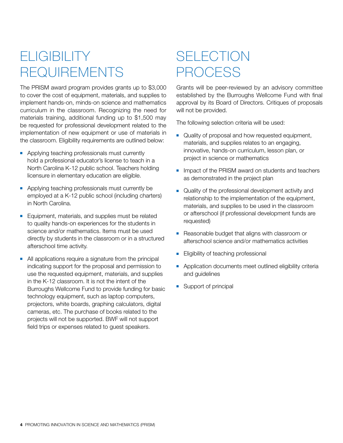### **ELIGIBILITY** REQUIREMENTS

The PRISM award program provides grants up to \$3,000 to cover the cost of equipment, materials, and supplies to implement hands-on, minds-on science and mathematics curriculum in the classroom. Recognizing the need for materials training, additional funding up to \$1,500 may be requested for professional development related to the implementation of new equipment or use of materials in the classroom. Eligibility requirements are outlined below:

- Applying teaching professionals must currently hold a professional educator's license to teach in a North Carolina K-12 public school. Teachers holding licensure in elementary education are eligible.
- Applying teaching professionals must currently be employed at a K-12 public school (including charters) in North Carolina.
- Equipment, materials, and supplies must be related to quality hands-on experiences for the students in science and/or mathematics. Items must be used directly by students in the classroom or in a structured afterschool time activity.
- $\blacksquare$  All applications require a signature from the principal indicating support for the proposal and permission to use the requested equipment, materials, and supplies in the K-12 classroom. It is not the intent of the Burroughs Wellcome Fund to provide funding for basic technology equipment, such as laptop computers, projectors, white boards, graphing calculators, digital cameras, etc. The purchase of books related to the projects will not be supported. BWF will not support field trips or expenses related to guest speakers.

### **SELECTION** PROCESS

Grants will be peer-reviewed by an advisory committee established by the Burroughs Wellcome Fund with final approval by its Board of Directors. Critiques of proposals will not be provided.

The following selection criteria will be used:

- **Quality of proposal and how requested equipment,** materials, and supplies relates to an engaging, innovative, hands-on curriculum, lesson plan, or project in science or mathematics
- n Impact of the PRISM award on students and teachers as demonstrated in the project plan
- **Quality of the professional development activity and** relationship to the implementation of the equipment, materials, and supplies to be used in the classroom or afterschool (if professional development funds are requested)
- **-** Reasonable budget that aligns with classroom or afterschool science and/or mathematics activities
- **Eligibility of teaching professional**
- **-** Application documents meet outlined eligibility criteria and guidelines
- $\blacksquare$  Support of principal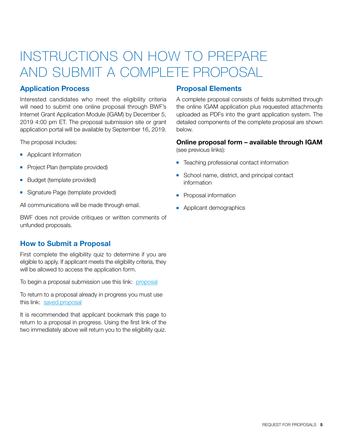### INSTRUCTIONS ON HOW TO PREPARE AND SUBMIT A COMPLETE PROPOSAL

#### **Application Process**

Interested candidates who meet the eligibility criteria will need to submit one online proposal through BWF's Internet Grant Application Module (IGAM) by December 5, 2019 4:00 pm ET. The proposal submission site or grant application portal will be available by September 16, 2019.

The proposal includes:

- **Applicant Information**
- Project Plan (template provided)
- Budget (template provided)
- **Burge Signature Page (template provided)**

All communications will be made through email.

BWF does not provide critiques or written comments of unfunded proposals.

#### **How to Submit a Proposal**

First complete the eligibility quiz to determine if you are eligible to apply. If applicant meets the eligibility criteria, they will be allowed to access the application form.

To begin a proposal submission use this link: [proposal](https://www.GrantRequest.com/SID_227?SA=SNA&FID=35043)

To return to a proposal already in progress you must use this link: [saved proposal](https://www.grantrequest.com/SID_227/?SA=AM)

It is recommended that applicant bookmark this page to return to a proposal in progress. Using the first link of the two immediately above will return you to the eligibility quiz.

#### **Proposal Elements**

A complete proposal consists of fields submitted through the online IGAM application plus requested attachments uploaded as PDFs into the grant application system. The detailed components of the complete proposal are shown below.

### **Online proposal form – available through IGAM**

(see previous links):

- Teaching professional contact information
- School name, district, and principal contact information
- **•** Proposal information
- Applicant demographics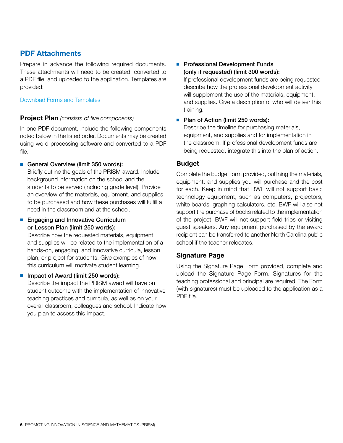#### **PDF Attachments**

Prepare in advance the following required documents. These attachments will need to be created, converted to a PDF file, and uploaded to the application. Templates are provided:

[Download Forms and Templates](http://www.bwfund.org/grant-programs/science-education/promoting-innovation-science-and-mathematics/forms-and-resources)

#### **Project Plan** *(consists of five components)*

In one PDF document, include the following components noted below in the listed order. Documents may be created using word processing software and converted to a PDF file.

#### General Overview (limit 350 words):

Briefly outline the goals of the PRISM award. Include background information on the school and the students to be served (including grade level). Provide an overview of the materials, equipment, and supplies to be purchased and how these purchases will fulfill a need in the classroom and at the school.

#### ■ Engaging and Innovative Curriculum or Lesson Plan (limit 250 words):

Describe how the requested materials, equipment, and supplies will be related to the implementation of a hands-on, engaging, and innovative curricula, lesson plan, or project for students. Give examples of how this curriculum will motivate student learning.

#### $\blacksquare$  Impact of Award (limit 250 words):

Describe the impact the PRISM award will have on student outcome with the implementation of innovative teaching practices and curricula, as well as on your overall classroom, colleagues and school. Indicate how you plan to assess this impact.

#### **Professional Development Funds** (only if requested) (limit 300 words):

If professional development funds are being requested describe how the professional development activity will supplement the use of the materials, equipment, and supplies. Give a description of who will deliver this training.

#### ■ Plan of Action (limit 250 words):

Describe the timeline for purchasing materials, equipment, and supplies and for implementation in the classroom. If professional development funds are being requested, integrate this into the plan of action.

#### **Budget**

Complete the budget form provided, outlining the materials, equipment, and supplies you will purchase and the cost for each. Keep in mind that BWF will not support basic technology equipment, such as computers, projectors, white boards, graphing calculators, etc. BWF will also not support the purchase of books related to the implementation of the project. BWF will not support field trips or visiting guest speakers. Any equipment purchased by the award recipient can be transferred to another North Carolina public school if the teacher relocates.

#### **Signature Page**

Using the Signature Page Form provided, complete and upload the Signature Page Form. Signatures for the teaching professional and principal are required. The Form (with signatures) must be uploaded to the application as a PDF file.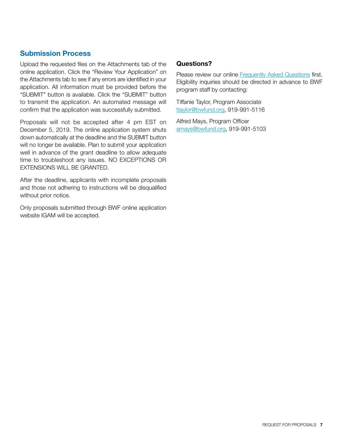#### **Submission Process**

Upload the requested files on the Attachments tab of the online application. Click the "Review Your Application" on the Attachments tab to see if any errors are identified in your application. All information must be provided before the "SUBMIT" button is available. Click the "SUBMIT" button to transmit the application. An automated message will confirm that the application was successfully submitted.

Proposals will not be accepted after 4 pm EST on December 5, 2019. The online application system shuts down automatically at the deadline and the SUBMIT button will no longer be available. Plan to submit your application well in advance of the grant deadline to allow adequate time to troubleshoot any issues. NO EXCEPTIONS OR EXTENSIONS WILL BE GRANTED.

After the deadline, applicants with incomplete proposals and those not adhering to instructions will be disqualified without prior notice.

Only proposals submitted through BWF online application website IGAM will be accepted.

#### **Questions?**

Please review our online [Frequently Asked Questions fi](http://www.bwfund.org/grant-programs/science-education/promoting-innovation-science-and-mathematics/faqs)rst. Eligibility inquiries should be directed in advance to BWF program staff by contacting:

Tiffanie Taylor, Program Associate [ttaylor@bwfund.org,](mailto:ttaylor%40bwfund.org?subject=) 919-991-5116

Alfred Mays, Program Officer [amays@bwfund.org](mailto:amays%40bwfund.org?subject=), 919-991-5103